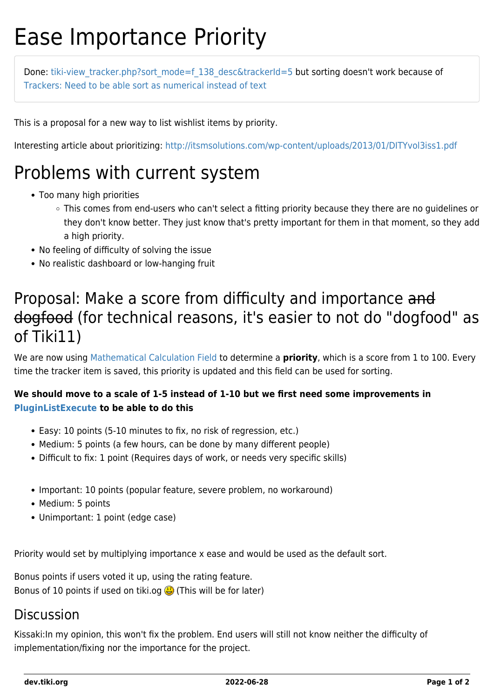# Ease Importance Priority

Done: tiki-view tracker.php?sort\_mode=f\_138\_desc&trackerId=5 but sorting doesn't work because of [Trackers: Need to be able sort as numerical instead of text](https://dev.tiki.org/wish1446)

This is a proposal for a new way to list wishlist items by priority.

Interesting article about prioritizing:<http://itsmsolutions.com/wp-content/uploads/2013/01/DITYvol3iss1.pdf>

### Problems with current system

- Too many high priorities
	- This comes from end-users who can't select a fitting priority because they there are no guidelines or they don't know better. They just know that's pretty important for them in that moment, so they add a high priority.
- No feeling of difficulty of solving the issue
- No realistic dashboard or low-hanging fruit

### Proposal: Make a score from difficulty and importance and dogfood (for technical reasons, it's easier to not do "dogfood" as of Tiki11)

We are now using [Mathematical Calculation Field](http://doc.tiki.org/Mathematical%20Calculation%20Field) to determine a **priority**, which is a score from 1 to 100. Every time the tracker item is saved, this priority is updated and this field can be used for sorting.

#### **We should move to a scale of 1-5 instead of 1-10 but we first need some improvements in [PluginListExecute](http://doc.tiki.org/PluginListExecute) to be able to do this**

- Easy: 10 points (5-10 minutes to fix, no risk of regression, etc.)
- Medium: 5 points (a few hours, can be done by many different people)
- Difficult to fix: 1 point (Requires days of work, or needs very specific skills)
- Important: 10 points (popular feature, severe problem, no workaround)
- Medium: 5 points
- Unimportant: 1 point (edge case)

Priority would set by multiplying importance x ease and would be used as the default sort.

Bonus points if users voted it up, using the rating feature. Bonus of 10 points if used on tiki.og  $\bigoplus$  (This will be for later)

#### Discussion

Kissaki:In my opinion, this won't fix the problem. End users will still not know neither the difficulty of implementation/fixing nor the importance for the project.